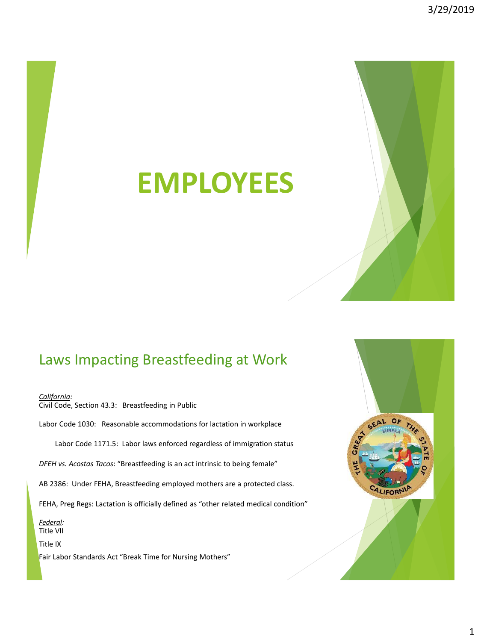# **EMPLOYEES**

# Laws Impacting Breastfeeding at Work

*California:*

Civil Code, Section 43.3: Breastfeeding in Public

Labor Code 1030: Reasonable accommodations for lactation in workplace

Labor Code 1171.5: Labor laws enforced regardless of immigration status

*DFEH vs. Acostas Tacos*: "Breastfeeding is an act intrinsic to being female"

AB 2386: Under FEHA, Breastfeeding employed mothers are a protected class.

FEHA, Preg Regs: Lactation is officially defined as "other related medical condition"

*Federal:* Title VII

Title IX

Fair Labor Standards Act "Break Time for Nursing Mothers"

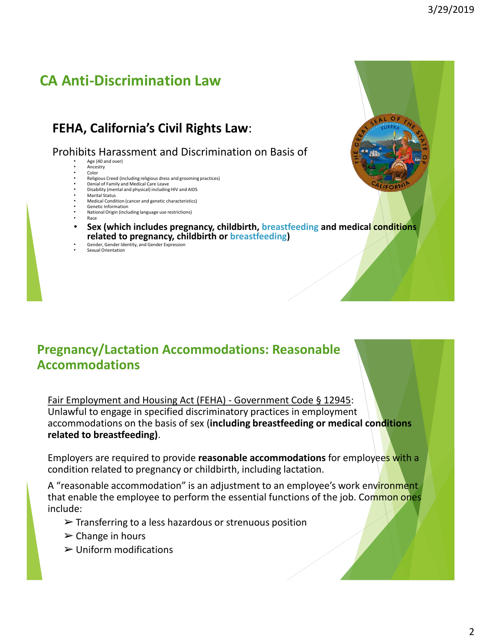# **CA Anti-Discrimination Law**

## **FEHA, California's Civil Rights Law**:

Prohibits Harassment and Discrimination on Basis of

- Age (40 and over)
- **Ancestry** • Color
- Religious Creed (including religious dress and grooming practices) Denial of Family and Medical Care Leave
- Disability (mental and physical) including HIV and AIDS
- Marital Status
- Medical Condition (cancer and genetic characteristics)
- Genetic Information • National Origin (including language use restrictions)
- Race
- **Sex (which includes pregnancy, childbirth, breastfeeding and medical conditions related to pregnancy, childbirth or breastfeeding)**
- Gender, Gender Identity, and Gender Expression Sexual Orientation

## **Pregnancy/Lactation Accommodations: Reasonable Accommodations**

Fair Employment and Housing Act (FEHA) - Government Code § 12945: Unlawful to engage in specified discriminatory practices in employment accommodations on the basis of sex (**including breastfeeding or medical conditions related to breastfeeding)**.

Employers are required to provide **reasonable accommodations** for employees with a condition related to pregnancy or childbirth, including lactation.

A "reasonable accommodation" is an adjustment to an employee's work environment that enable the employee to perform the essential functions of the job. Common ones include:

- $\triangleright$  Transferring to a less hazardous or strenuous position
- $\triangleright$  Change in hours
- $\triangleright$  Uniform modifications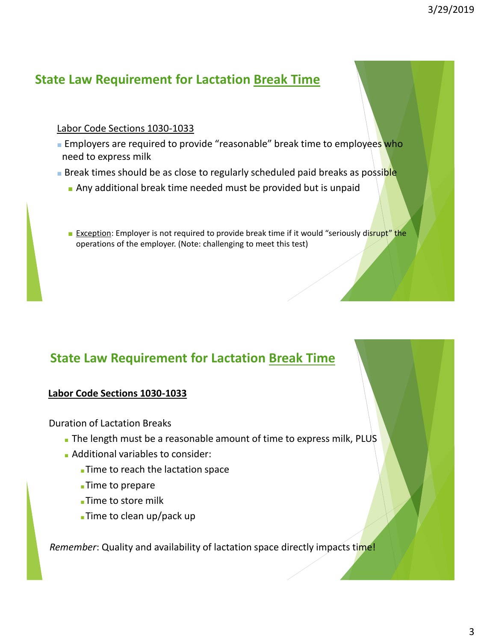## **State Law Requirement for Lactation Break Time**

#### Labor Code Sections 1030-1033

- **Employers are required to provide "reasonable" break time to employees who** need to express milk
- **Break times should be as close to regularly scheduled paid breaks as possible** 
	- Any additional break time needed must be provided but is unpaid
	- Exception: Employer is not required to provide break time if it would "seriously disrupt" the operations of the employer. (Note: challenging to meet this test)

## **State Law Requirement for Lactation Break Time**

#### **Labor Code Sections 1030-1033**

Duration of Lactation Breaks

- The length must be a reasonable amount of time to express milk, PLUS
- Additional variables to consider:
	- Time to reach the lactation space
	- Time to prepare
	- Time to store milk
	- Time to clean up/pack up

*Remember*: Quality and availability of lactation space directly impacts time!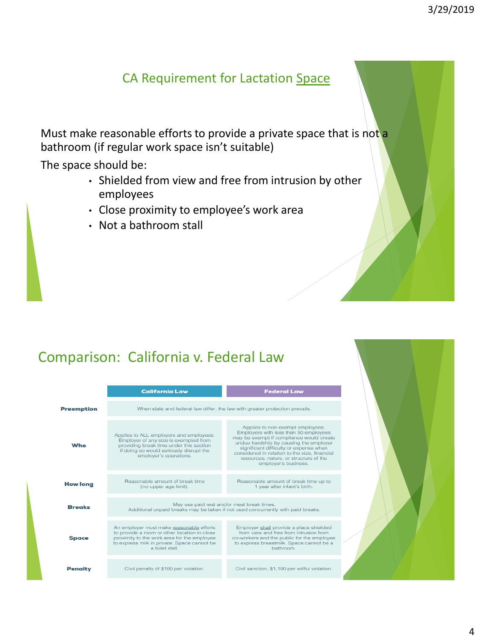## CA Requirement for Lactation Space

Must make reasonable efforts to provide a private space that is not a bathroom (if regular work space isn't suitable)

The space should be:

- Shielded from view and free from intrusion by other employees
- Close proximity to employee's work area
- Not a bathroom stall

## Comparison: California v. Federal Law

|                   | <b>California Law</b>                                                                                                                                                                                     | <b>Federal Law</b>                                                                                                                                                                                                                                                                                                           |
|-------------------|-----------------------------------------------------------------------------------------------------------------------------------------------------------------------------------------------------------|------------------------------------------------------------------------------------------------------------------------------------------------------------------------------------------------------------------------------------------------------------------------------------------------------------------------------|
| <b>Preemption</b> | When state and federal law differ, the law with greater protection prevails.                                                                                                                              |                                                                                                                                                                                                                                                                                                                              |
| Who               | Applies to ALL employers and employees.<br>Employer of any size is exempted from<br>providing break time under this section<br>if doing so would seriously disrupt the<br>employer's operations.          | Applies to non-exempt employees.<br>Employers with less than 50 employees<br>may be exempt if compliance would create<br>undue hardship by causing the employer<br>significant difficulty or expense when<br>considered in relation to the size, financial<br>resources, nature, or structure of the<br>employer's business. |
| <b>How long</b>   | Reasonable amount of break time<br>(no upper age limit).                                                                                                                                                  | Reasonable amount of break time up to<br>1 year after infant's birth.                                                                                                                                                                                                                                                        |
| <b>Breaks</b>     | May use paid rest and/or meal break times.<br>Additional unpaid breaks may be taken if not used concurrently with paid breaks.                                                                            |                                                                                                                                                                                                                                                                                                                              |
| <b>Space</b>      | An employer must make reasonable efforts<br>to provide a room or other location in close<br>proximity to the work area for the employee<br>to express milk in private. Space cannot be<br>a toilet stall. | Employer shall provide a place shielded<br>from view and free from intrusion from<br>co-workers and the public for the employee<br>to express breastmilk. Space cannot be a<br>bathroom.                                                                                                                                     |
| <b>Penalty</b>    | Civil penalty of \$100 per violation.                                                                                                                                                                     | Civil sanction, \$1,100 per willful violation.                                                                                                                                                                                                                                                                               |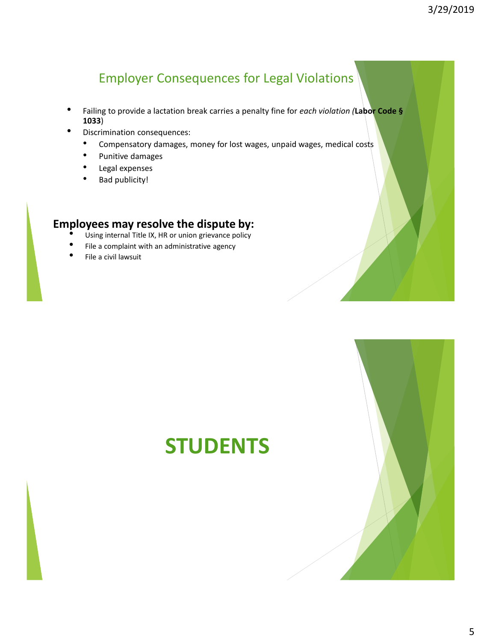# Employer Consequences for Legal Violations

- Failing to provide a lactation break carries a penalty fine for *each violation (***Labor Code § 1033**)
- Discrimination consequences:
	- Compensatory damages, money for lost wages, unpaid wages, medical costs
	- Punitive damages
	- Legal expenses
	- Bad publicity!

#### **Employees may resolve the dispute by:**

- Using internal Title IX, HR or union grievance policy
- File a complaint with an administrative agency
- File a civil lawsuit

# **STUDENTS**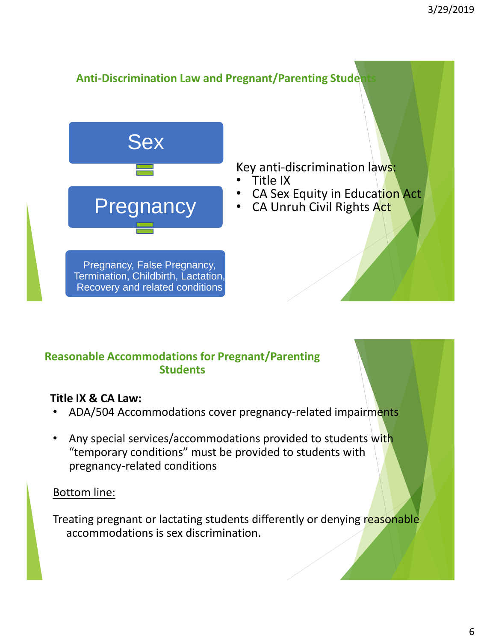

### **Reasonable Accommodations for Pregnant/Parenting Students**

### **Title IX & CA Law:**

- ADA/504 Accommodations cover pregnancy-related impairments
- Any special services/accommodations provided to students with "temporary conditions" must be provided to students with pregnancy-related conditions

### Bottom line:

Treating pregnant or lactating students differently or denying reasonable accommodations is sex discrimination.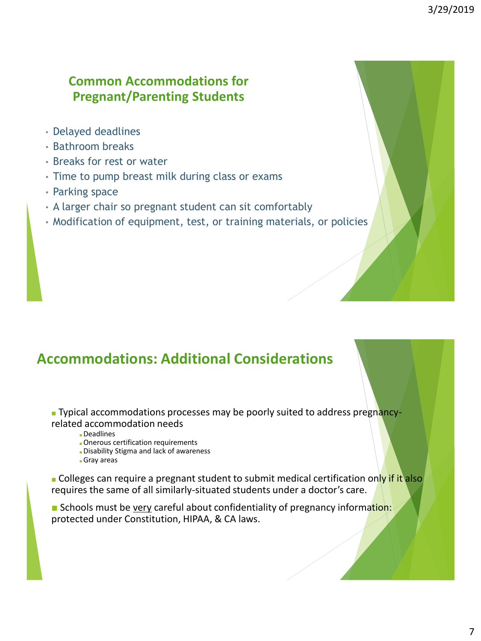## **Common Accommodations for Pregnant/Parenting Students**

- Delayed deadlines
- Bathroom breaks
- Breaks for rest or water
- Time to pump breast milk during class or exams
- Parking space
- A larger chair so pregnant student can sit comfortably
- Modification of equipment, test, or training materials, or policies

# **Accommodations: Additional Considerations**

■ Typical accommodations processes may be poorly suited to address pregnancyrelated accommodation needs

- Deadlines
- ■Onerous certification requirements
- Disability Stigma and lack of awareness
- ■Gray areas

**■ Colleges can require a pregnant student to submit medical certification only if it also** requires the same of all similarly-situated students under a doctor's care.

■ Schools must be very careful about confidentiality of pregnancy information: protected under Constitution, HIPAA, & CA laws.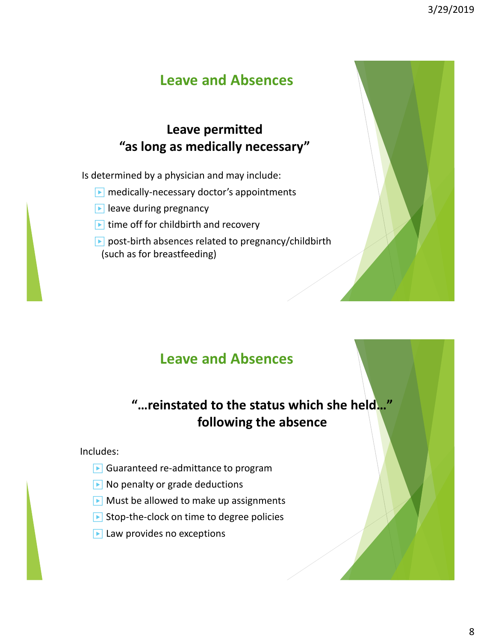## **Leave and Absences**

## **Leave permitted "as long as medically necessary"**

Is determined by a physician and may include:

- ▶ medically-necessary doctor's appointments
- ▶ leave during pregnancy
- $\blacktriangleright$  time off for childbirth and recovery
- ▶ post-birth absences related to pregnancy/childbirth (such as for breastfeeding)



## **Leave and Absences**

**"…reinstated to the status which she held…" following the absence**

#### Includes:

- $\blacktriangleright$  Guaranteed re-admittance to program
- $\blacktriangleright$  No penalty or grade deductions
- $\blacktriangleright$  Must be allowed to make up assignments
- $\blacktriangleright$  Stop-the-clock on time to degree policies
- $\blacktriangleright$  Law provides no exceptions